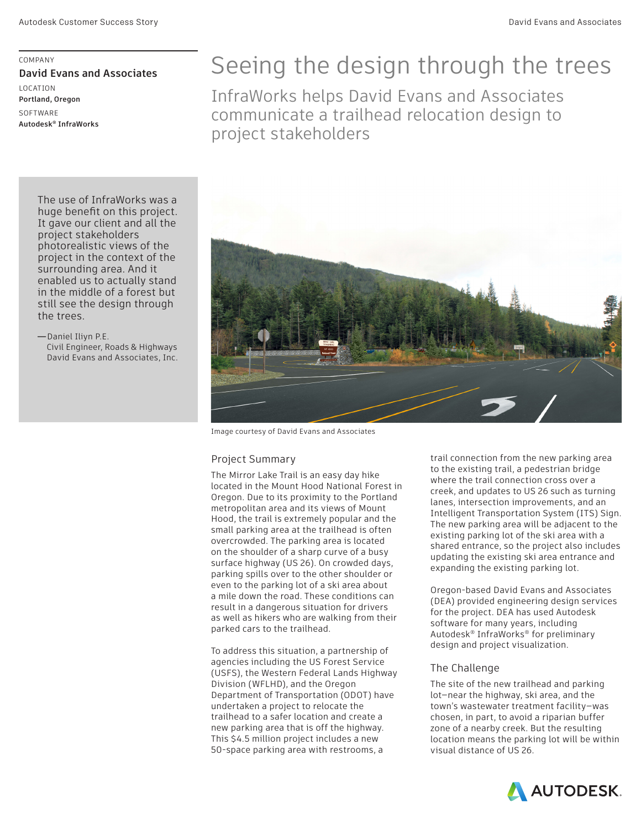COMPANY **David Evans and Associates**  LOCATION **Portland, Oregon SOFTWARE Autodesk® InfraWorks**

# Seeing the design through the trees

InfraWorks helps David Evans and Associates communicate a trailhead relocation design to project stakeholders



Image courtesy of David Evans and Associates

## Project Summary

The Mirror Lake Trail is an easy day hike located in the Mount Hood National Forest in Oregon. Due to its proximity to the Portland metropolitan area and its views of Mount Hood, the trail is extremely popular and the small parking area at the trailhead is often overcrowded. The parking area is located on the shoulder of a sharp curve of a busy surface highway (US 26). On crowded days, parking spills over to the other shoulder or even to the parking lot of a ski area about a mile down the road. These conditions can result in a dangerous situation for drivers as well as hikers who are walking from their parked cars to the trailhead.

To address this situation, a partnership of agencies including the US Forest Service (USFS), the Western Federal Lands Highway Division (WFLHD), and the Oregon Department of Transportation (ODOT) have undertaken a project to relocate the trailhead to a safer location and create a new parking area that is off the highway. This \$4.5 million project includes a new 50-space parking area with restrooms, a

trail connection from the new parking area to the existing trail, a pedestrian bridge where the trail connection cross over a creek, and updates to US 26 such as turning lanes, intersection improvements, and an Intelligent Transportation System (ITS) Sign. The new parking area will be adjacent to the existing parking lot of the ski area with a shared entrance, so the project also includes updating the existing ski area entrance and expanding the existing parking lot.

Oregon-based David Evans and Associates (DEA) provided engineering design services for the project. DEA has used Autodesk software for many years, including Autodesk® InfraWorks® for preliminary design and project visualization.

## The Challenge

The site of the new trailhead and parking lot—near the highway, ski area, and the town's wastewater treatment facility—was chosen, in part, to avoid a riparian buffer zone of a nearby creek. But the resulting location means the parking lot will be within visual distance of US 26.



The use of InfraWorks was a huge benefit on this project. It gave our client and all the project stakeholders photorealistic views of the project in the context of the surrounding area. And it enabled us to actually stand in the middle of a forest but still see the design through the trees.

**—**Daniel Iliyn P.E. Civil Engineer, Roads & Highways David Evans and Associates, Inc.